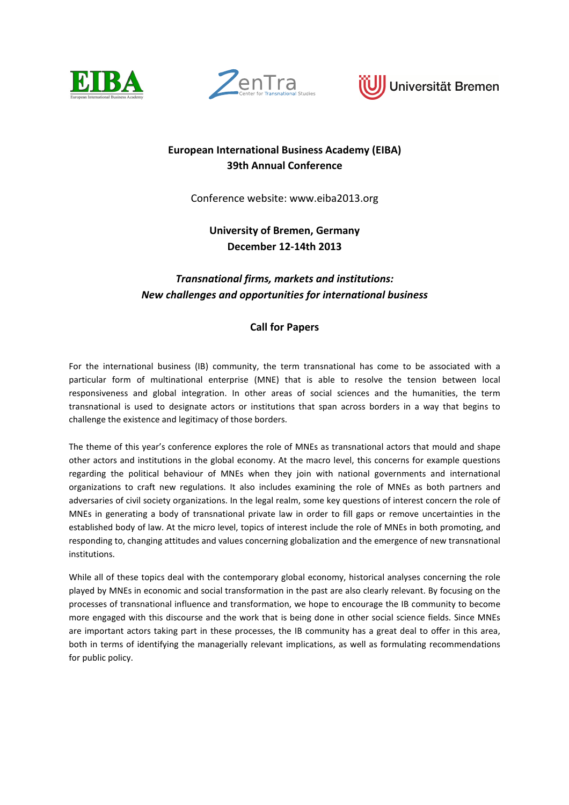





# **European International Business Academy (EIBA) 39th Annual Conference**

Conference website: www.eiba2013.org

**University of Bremen, Germany December 12-14th 2013** 

# *Transnational firms, markets and institutions: New challenges and opportunities for international business*

# **Call for Papers**

For the international business (IB) community, the term transnational has come to be associated with a particular form of multinational enterprise (MNE) that is able to resolve the tension between local responsiveness and global integration. In other areas of social sciences and the humanities, the term transnational is used to designate actors or institutions that span across borders in a way that begins to challenge the existence and legitimacy of those borders.

The theme of this year's conference explores the role of MNEs as transnational actors that mould and shape other actors and institutions in the global economy. At the macro level, this concerns for example questions regarding the political behaviour of MNEs when they join with national governments and international organizations to craft new regulations. It also includes examining the role of MNEs as both partners and adversaries of civil society organizations. In the legal realm, some key questions of interest concern the role of MNEs in generating a body of transnational private law in order to fill gaps or remove uncertainties in the established body of law. At the micro level, topics of interest include the role of MNEs in both promoting, and responding to, changing attitudes and values concerning globalization and the emergence of new transnational institutions.

While all of these topics deal with the contemporary global economy, historical analyses concerning the role played by MNEs in economic and social transformation in the past are also clearly relevant. By focusing on the processes of transnational influence and transformation, we hope to encourage the IB community to become more engaged with this discourse and the work that is being done in other social science fields. Since MNEs are important actors taking part in these processes, the IB community has a great deal to offer in this area, both in terms of identifying the managerially relevant implications, as well as formulating recommendations for public policy.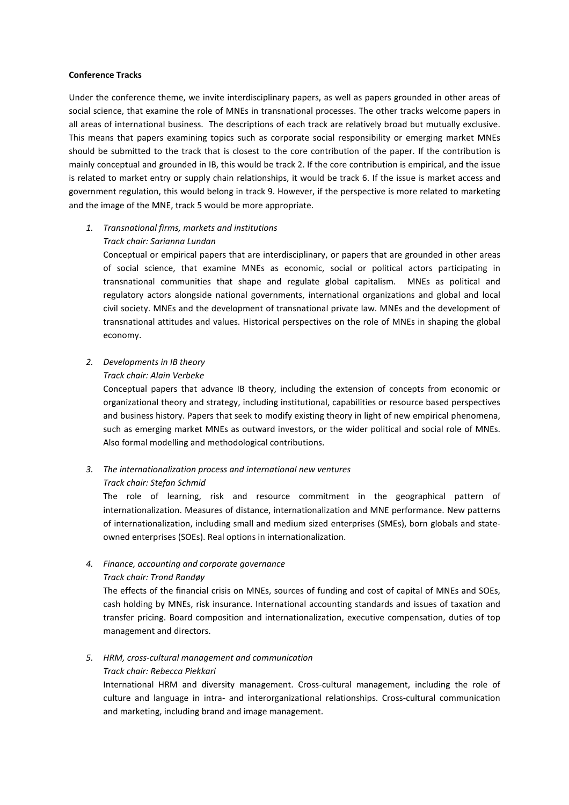#### **Conference Tracks**

Under the conference theme, we invite interdisciplinary papers, as well as papers grounded in other areas of social science, that examine the role of MNEs in transnational processes. The other tracks welcome papers in all areas of international business. The descriptions of each track are relatively broad but mutually exclusive. This means that papers examining topics such as corporate social responsibility or emerging market MNEs should be submitted to the track that is closest to the core contribution of the paper. If the contribution is mainly conceptual and grounded in IB, this would be track 2. If the core contribution is empirical, and the issue is related to market entry or supply chain relationships, it would be track 6. If the issue is market access and government regulation, this would belong in track 9. However, if the perspective is more related to marketing and the image of the MNE, track 5 would be more appropriate.

# *1. Transnational firms, markets and institutions*

# *Track chair: Sarianna Lundan*

Conceptual or empirical papers that are interdisciplinary, or papers that are grounded in other areas of social science, that examine MNEs as economic, social or political actors participating in transnational communities that shape and regulate global capitalism. MNEs as political and regulatory actors alongside national governments, international organizations and global and local civil society. MNEs and the development of transnational private law. MNEs and the development of transnational attitudes and values. Historical perspectives on the role of MNEs in shaping the global economy.

# *2. Developments in IB theory*

#### *Track chair: Alain Verbeke*

Conceptual papers that advance IB theory, including the extension of concepts from economic or organizational theory and strategy, including institutional, capabilities or resource based perspectives and business history. Papers that seek to modify existing theory in light of new empirical phenomena, such as emerging market MNEs as outward investors, or the wider political and social role of MNEs. Also formal modelling and methodological contributions.

#### *3. The internationalization process and international new ventures Track chair: Stefan Schmid*

The role of learning, risk and resource commitment in the geographical pattern of internationalization. Measures of distance, internationalization and MNE performance. New patterns of internationalization, including small and medium sized enterprises (SMEs), born globals and stateowned enterprises (SOEs). Real options in internationalization.

#### *4. Finance, accounting and corporate governance Track chair: Trond Randøy*

The effects of the financial crisis on MNEs, sources of funding and cost of capital of MNEs and SOEs, cash holding by MNEs, risk insurance. International accounting standards and issues of taxation and transfer pricing. Board composition and internationalization, executive compensation, duties of top management and directors.

#### *5. HRM, cross-cultural management and communication Track chair: Rebecca Piekkari*

International HRM and diversity management. Cross-cultural management, including the role of culture and language in intra- and interorganizational relationships. Cross-cultural communication and marketing, including brand and image management.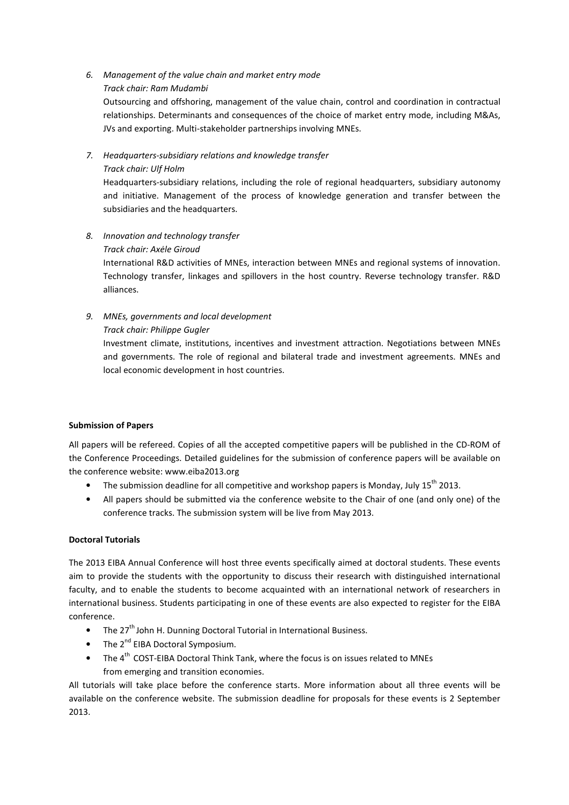*6. Management of the value chain and market entry mode Track chair: Ram Mudambi* 

Outsourcing and offshoring, management of the value chain, control and coordination in contractual relationships. Determinants and consequences of the choice of market entry mode, including M&As, JVs and exporting. Multi-stakeholder partnerships involving MNEs.

*7. Headquarters-subsidiary relations and knowledge transfer* 

# *Track chair: Ulf Holm*

Headquarters-subsidiary relations, including the role of regional headquarters, subsidiary autonomy and initiative. Management of the process of knowledge generation and transfer between the subsidiaries and the headquarters.

- *8. Innovation and technology transfer* 
	- *Track chair: Axėle Giroud*

International R&D activities of MNEs, interaction between MNEs and regional systems of innovation. Technology transfer, linkages and spillovers in the host country. Reverse technology transfer. R&D alliances.

*9. MNEs, governments and local development Track chair: Philippe Gugler* 

Investment climate, institutions, incentives and investment attraction. Negotiations between MNEs and governments. The role of regional and bilateral trade and investment agreements. MNEs and local economic development in host countries.

# **Submission of Papers**

All papers will be refereed. Copies of all the accepted competitive papers will be published in the CD-ROM of the Conference Proceedings. Detailed guidelines for the submission of conference papers will be available on the conference website: www.eiba2013.org

- The submission deadline for all competitive and workshop papers is Monday, July 15<sup>th</sup> 2013.
- All papers should be submitted via the conference website to the Chair of one (and only one) of the conference tracks. The submission system will be live from May 2013.

# **Doctoral Tutorials**

The 2013 EIBA Annual Conference will host three events specifically aimed at doctoral students. These events aim to provide the students with the opportunity to discuss their research with distinguished international faculty, and to enable the students to become acquainted with an international network of researchers in international business. Students participating in one of these events are also expected to register for the EIBA conference.

- The  $27<sup>th</sup>$  John H. Dunning Doctoral Tutorial in International Business.
- The  $2^{nd}$  EIBA Doctoral Symposium.
- The 4<sup>th</sup> COST-EIBA Doctoral Think Tank, where the focus is on issues related to MNEs from emerging and transition economies.

All tutorials will take place before the conference starts. More information about all three events will be available on the conference website. The submission deadline for proposals for these events is 2 September 2013.